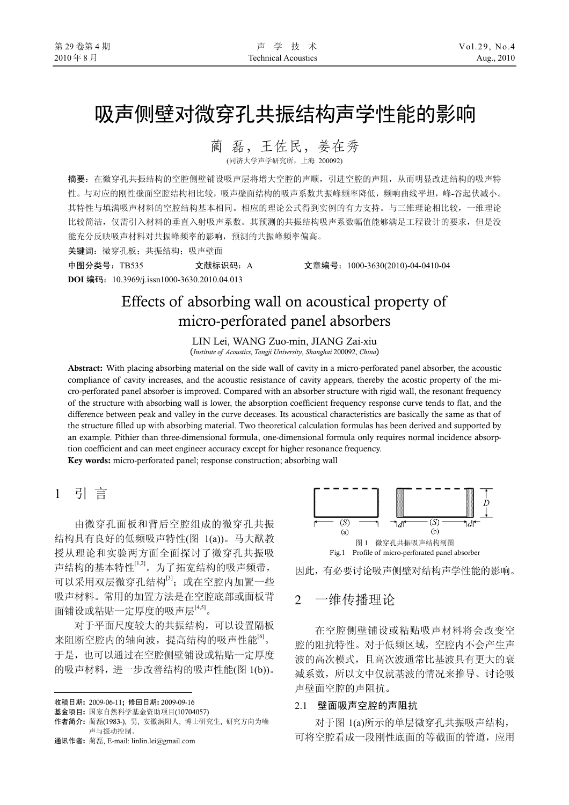# 吸声侧壁对微穿孔共振结构声学性能的影响

蔺 磊,王佐民,姜在秀 (同济大学声学研究所,上海 200092)

摘要:在微穿孔共振结构的空腔侧壁铺设吸声层将增大空腔的声顺,引进空腔的声阻,从而明显改进结构的吸声特 性。与对应的刚性壁面空腔结构相比较,吸声壁面结构的吸声系数共振峰频率降低,频响曲线平坦,峰-谷起伏减小。 其特性与填满吸声材料的空腔结构基本相同。相应的理论公式得到实例的有力支持。与三维理论相比较,一维理论 比较简洁,仅需引入材料的垂直入射吸声系数。其预测的共振结构吸声系数幅值能够满足工程设计的要求,但是没 能充分反映吸声材料对共振峰频率的影响,预测的共振峰频率偏高。

关键词: 微穿孔板;共振结构;吸声壁面

中图分类号:TB535 文献标识码:A 文章编号:1000-3630(2010)-04-0410-04 **DOI** 编码:10.3969/j.issn1000-3630.2010.04.013

## Effects of absorbing wall on acoustical property of micro-perforated panel absorbers

LIN Lei, WANG Zuo-min, JIANG Zai-xiu

(*Institute of Acoustics*, *Tongji University*, *Shanghai* 200092, *China*)

Abstract: With placing absorbing material on the side wall of cavity in a micro-perforated panel absorber, the acoustic compliance of cavity increases, and the acoustic resistance of cavity appears, thereby the acostic property of the micro-perforated panel absorber is improved. Compared with an absorber structure with rigid wall, the resonant frequency of the structure with absorbing wall is lower, the absorption coefficient frequency response curve tends to flat, and the difference between peak and valley in the curve deceases. Its acoustical characteristics are basically the same as that of the structure filled up with absorbing material. Two theoretical calculation formulas has been derived and supported by an example. Pithier than three-dimensional formula, one-dimensional formula only requires normal incidence absorption coefficient and can meet engineer accuracy except for higher resonance frequency.

Key words: micro-perforated panel; response construction; absorbing wall

1 引 言

 $\overline{a}$ 

由微穿孔面板和背后空腔组成的微穿孔共振 结构具有良好的低频吸声特性(图 1(a))。马大猷教 授从理论和实验两方面全面探讨了微穿孔共振吸 声结构的基本特性[1,2]。为了拓宽结构的吸声频带, 可以采用双层微穿孔结构<sup>[3]</sup>: 或在空腔内加置一些 吸声材料。常用的加置方法是在空腔底部或面板背 面铺设或粘贴一定厚度的吸声层[4,5]。

对于平面尺度较大的共振结构,可以设置隔板 来阻断空腔内的轴向波, 提高结构的吸声性能<sup>[6]</sup>。 于是,也可以通过在空腔侧壁铺设或粘贴一定厚度 的吸声材料,进一步改善结构的吸声性能(图 1(b))。

通讯作者: 蔺磊, E-mail: linlin.lei@gmail.com



因此,有必要讨论吸声侧壁对结构声学性能的影响。

### 2一维传播理论

在空腔侧壁铺设或粘贴吸声材料将会改变空 腔的阻抗特性。对于低频区域,空腔内不会产生声 波的高次模式,且高次波通常比基波具有更大的衰 减系数,所以文中仅就基波的情况来推导、讨论吸 声壁面空腔的声阻抗。

### 2.1 壁面吸声空腔的声阻抗

对于图 1(a)所示的单层微穿孔共振吸声结构, 可将空腔看成一段刚性底面的等截面的管道,应用

收稿日期: 2009-06-11; 修回日期: 2009-09-16

基金项目: 国家自然科学基金资助项目(10704057)

作者简介: 蔺磊(1983-), 男, 安徽涡阳人, 博士研究生, 研究方向为噪 声与振动控制。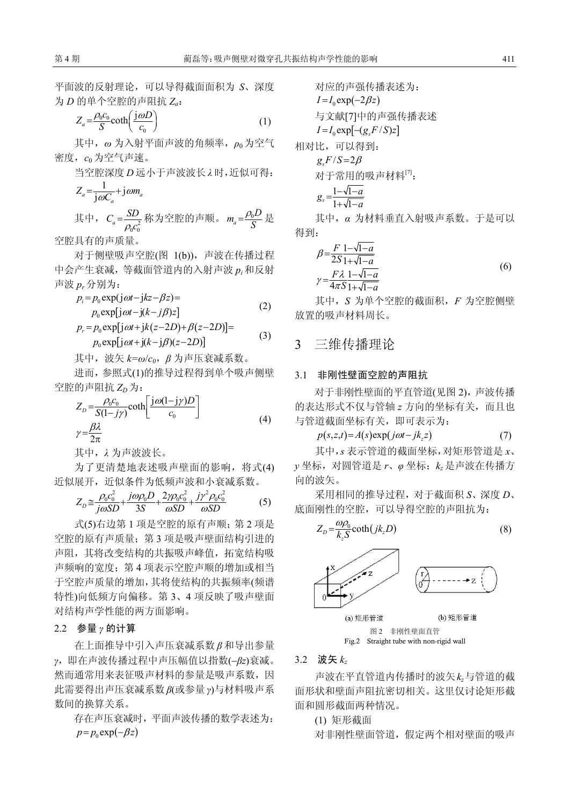平面波的反射理论,可以导得截面面积为 *S*、深度 为 *D* 的单个空腔的声阻抗 *Za*:

$$
Z_a = \frac{\rho_0 c_0}{S} \coth\left(\frac{j\omega D}{c_0}\right) \tag{1}
$$

其中,*ω* 为入射平面声波的角频率,*ρ*<sup>0</sup> 为空气 密度,*c*<sup>0</sup> 为空气声速。

当空腔深度 *D* 远小于声波波长 *λ* 时,近似可得:

$$
Z_a = \frac{1}{j\omega C_a} + j\omega m_a
$$
  
其中, 
$$
C_a = \frac{SD}{\rho_0 c_0^2} \text{ } \frac{S}{N} \text{ } \frac{PS}{N} \text{ } \frac{S}{N} \text{ } \frac{S}{N} \text{ } \frac{S}{N} \text{ } \frac{S}{N} \text{ } \frac{S}{N} \text{ } \frac{S}{N} \text{ } \frac{S}{N} \text{ } \frac{S}{N} \text{ } \frac{S}{N} \text{ } \frac{S}{N} \text{ } \frac{S}{N} \text{ } \frac{S}{N} \text{ } \frac{S}{N} \text{ } \frac{S}{N} \text{ } \frac{S}{N} \text{ } \frac{S}{N} \text{ } \frac{S}{N} \text{ } \frac{S}{N} \text{ } \frac{S}{N} \text{ } \frac{S}{N} \text{ } \frac{S}{N} \text{ } \frac{S}{N} \text{ } \frac{S}{N} \text{ } \frac{S}{N} \text{ } \frac{S}{N} \text{ } \frac{S}{N} \text{ } \frac{S}{N} \text{ } \frac{S}{N} \text{ } \frac{S}{N} \text{ } \frac{S}{N} \text{ } \frac{S}{N} \text{ } \frac{S}{N} \text{ } \frac{S}{N} \text{ } \frac{S}{N} \text{ } \frac{S}{N} \text{ } \frac{S}{N} \text{ } \frac{S}{N} \text{ } \frac{S}{N} \text{ } \frac{S}{N} \text{ } \frac{S}{N} \text{ } \frac{S}{N} \text{ } \frac{S}{N} \text{ } \frac{S}{N} \text{ } \frac{S}{N} \text{ } \frac{S}{N} \text{ } \frac{S}{N} \text{ } \frac{S}{N} \text{ } \frac{S}{N} \text{ } \frac{S}{N} \text{ } \frac{S}{N} \text{ } \frac{S}{N} \text{ } \frac{S}{N} \text{ } \frac{S}{N} \text{ } \frac{S}{N} \text{ } \frac{S}{N} \text{ } \frac{S}{N} \text{ } \frac{S}{N
$$

空腔具有的声质量。

对于侧壁吸声空腔(图 1(b)),声波在传播过程 中会产生衰减,等截面管道内的入射声波 *pi* 和反射 声波 *pr* 分别为:

$$
p_i = p_0 \exp(j\omega t - jkz - \beta z) =
$$
  
\n
$$
p_0 \exp[j\omega t - j(k - j\beta)z]
$$
 (2)

$$
p_r = p_0 \exp[j\omega t + jk(z-2D) + \beta(z-2D)] =
$$
  
\n
$$
p_0 \exp[j\omega t + j(k-j\beta)(z-2D)]
$$
\n(3)

其中, 波矢  $k = \omega/c_0$ ,  $\beta$  为声压衰减系数。

进而,参照式(1)的推导过程得到单个吸声侧壁 空腔的声阻抗 *ZD*为:

$$
Z_D = \frac{\rho_0 c_0}{S(1-j\gamma)} \coth\left[\frac{j\omega(1-j\gamma)D}{c_0}\right]
$$
  

$$
\gamma = \frac{\beta \lambda}{2\pi}
$$
 (4)

其中,*λ* 为声波波长。

为了更清楚地表述吸声壁面的影响,将式(4) 近似展开,近似条件为低频声波和小衰减系数。

$$
Z_D \approx \frac{\rho_0 c_0^2}{j\omega SD} + \frac{j\omega \rho_0 D}{3S} + \frac{2\gamma \rho_0 c_0^2}{\omega SD} + \frac{j\gamma^2 \rho_0 c_0^2}{\omega SD}
$$
(5)

式(5)右边第1项是空腔的原有声顺;第2项是 空腔的原有声质量;第 3 项是吸声壁面结构引进的 声阳,其将改变结构的共振吸声峰值,拓宽结构吸 声频响的宽度;第 4 项表示空腔声顺的增加或相当 于空腔声质量的增加,其将使结构的共振频率(频谱 特性)向低频方向偏移。第 3、4 项反映了吸声壁面 对结构声学性能的两方面影响。

### 2.2 参量 *γ* 的计算

在上面推导中引入声压衰减系数 *β* 和导出参量 *γ*,即在声波传播过程中声压幅值以指数(−*βz*)衰减。 然而通常用来表征吸声材料的参量是吸声系数,因 此需要得出声压衰减系数 *β*(或参量 *γ*)与材料吸声系 数间的换算关系。

存在声压衰减时,平面声波传播的数学表述为:  $p = p_0 \exp(-\beta z)$ 

对应的声强传播表述为: ( ) <sup>0</sup> *I* = − *I z* exp 2β 与文献[7]中的声强传播表述 [ ] <sup>0</sup> exp ( / ) *<sup>s</sup> I* = − *I gF S z* 相对比,可以得到: / 2 *<sup>s</sup> gF S* = β 对于常用的吸声材料[7]: 1 1 1 1 *<sup>s</sup> a g a* <sup>−</sup> <sup>−</sup> <sup>=</sup> <sup>+</sup> <sup>−</sup>

其中,*α* 为材料垂直入射吸声系数。于是可以 得到:

$$
\beta = \frac{F}{2S} \frac{1-\sqrt{1-a}}{1+\sqrt{1-a}}
$$
  

$$
\gamma = \frac{F\lambda}{4\pi S} \frac{1-\sqrt{1-a}}{1+\sqrt{1-a}}
$$
 (6)

其中,*S* 为单个空腔的截面积,*F* 为空腔侧壁 放置的吸声材料周长。

### 3 三维传播理论

### 3.1 非刚性壁面空腔的声阻抗

对于非刚性壁面的平直管道(见图 2),声波传播 的表达形式不仅与管轴 *z* 方向的坐标有关,而且也 与管道截面坐标有关,即可表示为:

$$
p(s, z, t) = A(s) \exp(j\omega t - jk_z z)
$$
 (7)

其中,*s* 表示管道的截面坐标,对矩形管道是 *x*、  $\nu$  坐标, 对圆管道是  $r$ 、 $\varrho$  坐标;  $k$ , 是声波在传播方 向的波矢。

采用相同的推导过程,对于截面积 *S*、深度 *D*、 底面刚性的空腔,可以导得空腔的声阻抗为:



### 3.2 波矢 *kz*

声波在平直管道内传播时的波矢*kz*与管道的截 面形状和壁面声阻抗密切相关。这里仅讨论矩形截 面和圆形截面两种情况。

(1) 矩形截面

对非刚性壁面管道,假定两个相对壁面的吸声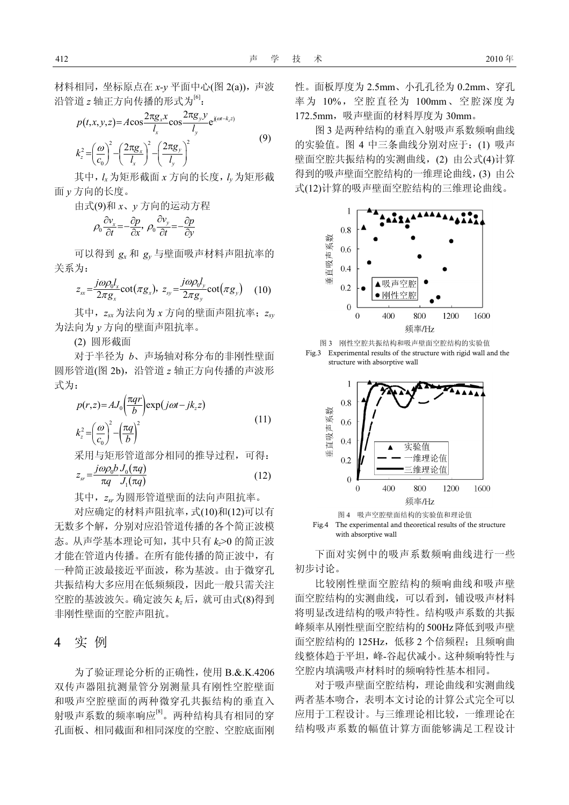材料相同,坐标原点在 *x-y* 平面中心(图 2(a)),声波 沿管道 *z* 轴正方向传播的形式为[6]:

$$
p(t, x, y, z) = A\cos\frac{2\pi g_x x}{l_x}\cos\frac{2\pi g_y y}{l_y} e^{j(\omega t - k_z z)}
$$
  

$$
k_z^2 = \left(\frac{\omega}{c_0}\right)^2 - \left(\frac{2\pi g_x}{l_x}\right)^2 - \left(\frac{2\pi g_y}{l_y}\right)^2
$$
 (9)

其中,  $l_x$ 为矩形截面  $x$  方向的长度,  $l_y$ 为矩形截 面 *y* 方向的长度。

由式(9)和 *x*、*y* 方向的运动方程

$$
\rho_0 \frac{\partial v_x}{\partial t} = -\frac{\partial p}{\partial x}, \ \rho_0 \frac{\partial v_y}{\partial t} = -\frac{\partial p}{\partial y}
$$

可以得到 *gx* 和 *gy* 与壁面吸声材料声阻抗率的 关系为:

$$
z_{ss} = \frac{j\omega \rho_0 l_x}{2\pi g_x} \cot(\pi g_x), \ z_{sy} = \frac{j\omega \rho_0 l_y}{2\pi g_y} \cot(\pi g_y) \quad (10)
$$

其中,*zsx*为法向为 *x* 方向的壁面声阻抗率;*zsy* 为法向为 *y* 方向的壁面声阻抗率。

(2) 圆形截面

对于半径为 *b*、声场轴对称分布的非刚性壁面 圆形管道(图 2b),沿管道 *z* 轴正方向传播的声波形 式为:

$$
p(r,z) = AJ_0 \left(\frac{\pi qr}{b}\right) \exp(j\omega t - jk_z z)
$$
  
\n
$$
k_z^2 = \left(\frac{\omega}{c_0}\right)^2 - \left(\frac{\pi q}{b}\right)^2
$$
\n(11)

采用与矩形管道部分相同的推导过程,可得:  $(\pi q)$  $\frac{\mu_0 \nu}{q} \frac{\sigma_0(\mu q)}{J_1(\pi q)}$  $z_{sr} = \frac{j\omega\rho_0 b}{\pi q} \frac{J_0(\pi q)}{J_1(\pi q)}$  (12)

其中,*zsr* 为圆形管道壁面的法向声阻抗率。

对应确定的材料声阻抗率,式(10)和(12)可以有 无数多个解,分别对应沿管道传播的各个简正波模 态。从声学基本理论可知,其中只有 *kz*>0 的简正波 才能在管道内传播。在所有能传播的简正波中,有 一种简正波最接近平面波,称为基波。由于微穿孔 共振结构大多应用在低频频段,因此一般只需关注 空腔的基波波矢。确定波矢 *kz* 后,就可由式(8)得到 非刚性壁面的空腔声阻抗。

### 4 实 例

为了验证理论分析的正确性,使用 B.&.K.4206 双传声器阻抗测量管分别测量具有刚性空腔壁面 和吸声空腔壁面的两种微穿孔共振结构的垂直入 射吸声系数的频率响应[8]。两种结构具有相同的穿 孔面板、相同截面和相同深度的空腔、空腔底面刚 性。面板厚度为 2.5mm、小孔孔径为 0.2mm、穿孔 率为 10%, 空腔直径为 100mm、空腔深度为 172.5mm,吸声壁面的材料厚度为 30mm。

图 3 是两种结构的垂直入射吸声系数频响曲线 的实验值。图 4 中三条曲线分别对应于:(1) 吸声 壁面空腔共振结构的实测曲线,(2) 由公式(4)计算 得到的吸声壁面空腔结构的一维理论曲线,(3) 由公 式(12)计算的吸声壁面空腔结构的三维理论曲线。









下面对实例中的吸声系数频响曲线进行一些 初步讨论。

比较刚性壁面空腔结构的频响曲线和吸声壁 面空腔结构的实测曲线,可以看到,铺设吸声材料 将明显改进结构的吸声特性。结构吸声系数的共振 峰频率从刚性壁面空腔结构的500Hz降低到吸声壁 面空腔结构的 125Hz, 低移 2 个倍频程; 且频响曲 线整体趋于平坦,峰-谷起伏减小。这种频响特性与 空腔内填满吸声材料时的频响特性基本相同。

对于吸声壁面空腔结构,理论曲线和实测曲线 两者基本吻合,表明本文讨论的计算公式完全可以 应用于工程设计。与三维理论相比较,一维理论在 结构吸声系数的幅值计算方面能够满足工程设计